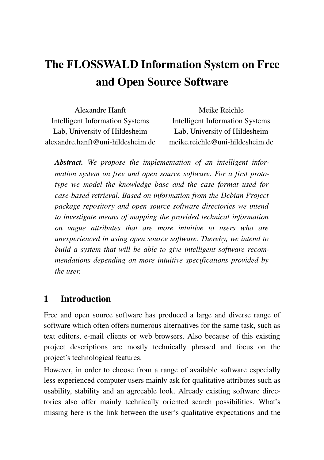# The FLOSSWALD Information System on Free and Open Source Software

| Alexandre Hanft                        | Meike Reichle                          |
|----------------------------------------|----------------------------------------|
| <b>Intelligent Information Systems</b> | <b>Intelligent Information Systems</b> |
| Lab, University of Hildesheim          | Lab, University of Hildesheim          |
| alexandre.hanft@uni-hildesheim.de      | meike.reichle@uni-hildesheim.de        |

*Abstract. We propose the implementation of an intelligent information system on free and open source software. For a first prototype we model the knowledge base and the case format used for casebased retrieval. Based on information from the Debian Project package repository and open source software directories we intend to investigate means of mapping the provided technical information on vague attributes that are more intuitive to users who are unexperienced in using open source software. Thereby, we intend to build a system that will be able to give intelligent software recommendations depending on more intuitive specifications provided by the user.*

## 1 Introduction

Free and open source software has produced a large and diverse range of software which often offers numerous alternatives for the same task, such as text editors, email clients or web browsers. Also because of this existing project descriptions are mostly technically phrased and focus on the project's technological features.

However, in order to choose from a range of available software especially less experienced computer users mainly ask for qualitative attributes such as usability, stability and an agreeable look. Already existing software directories also offer mainly technically oriented search possibilities. What's missing here is the link between the user's qualitative expectations and the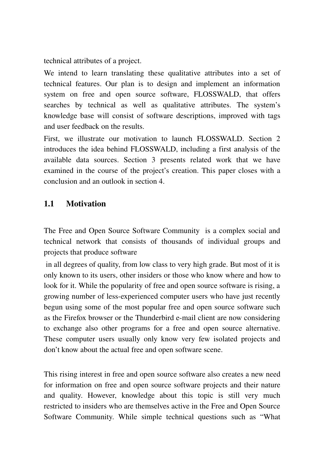technical attributes of a project.

We intend to learn translating these qualitative attributes into a set of technical features. Our plan is to design and implement an information system on free and open source software, FLOSSWALD, that offers searches by technical as well as qualitative attributes. The system's knowledge base will consist of software descriptions, improved with tags and user feedback on the results.

First, we illustrate our motivation to launch FLOSSWALD. Section 2 introduces the idea behind FLOSSWALD, including a first analysis of the available data sources. Section 3 presents related work that we have examined in the course of the project's creation. This paper closes with a conclusion and an outlook in section 4.

## 1.1 Motivation

The Free and Open Source Software Community is a complex social and technical network that consists of thousands of individual groups and projects that produce software

in all degrees of quality, from low class to very high grade. But most of it is only known to its users, other insiders or those who know where and how to look for it. While the popularity of free and open source software is rising, a growing number of less-experienced computer users who have just recently begun using some of the most popular free and open source software such as the Firefox browser or the Thunderbird e-mail client are now considering to exchange also other programs for a free and open source alternative. These computer users usually only know very few isolated projects and don't know about the actual free and open software scene.

This rising interest in free and open source software also creates a new need for information on free and open source software projects and their nature and quality. However, knowledge about this topic is still very much restricted to insiders who are themselves active in the Free and Open Source Software Community. While simple technical questions such as "What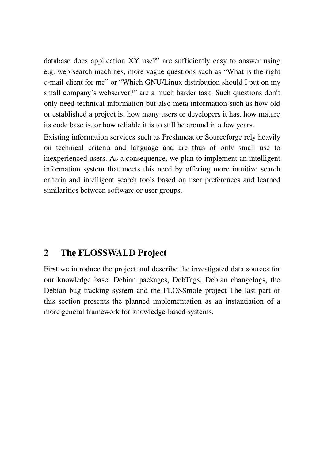database does application XY use?" are sufficiently easy to answer using e.g. web search machines, more vague questions such as "What is the right email client for me" or "Which GNU/Linux distribution should I put on my small company's webserver?" are a much harder task. Such questions don't only need technical information but also meta information such as how old or established a project is, how many users or developers it has, how mature its code base is, or how reliable it is to still be around in a few years.

Existing information services such as Freshmeat or Sourceforge rely heavily on technical criteria and language and are thus of only small use to inexperienced users. As a consequence, we plan to implement an intelligent information system that meets this need by offering more intuitive search criteria and intelligent search tools based on user preferences and learned similarities between software or user groups.

### 2 The FLOSSWALD Project

First we introduce the project and describe the investigated data sources for our knowledge base: Debian packages, DebTags, Debian changelogs, the Debian bug tracking system and the FLOSSmole project The last part of this section presents the planned implementation as an instantiation of a more general framework for knowledge-based systems.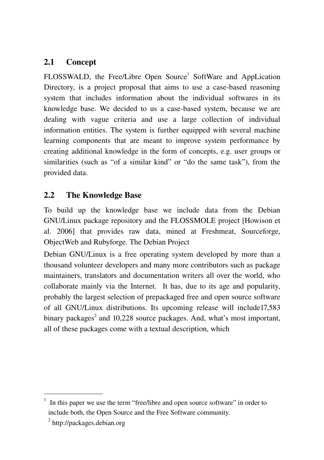## 2.1 Concept

FLOSSWALD, the Free/Libre Open Source<sup>[1](#page-3-0)</sup> SoftWare and AppLication Directory, is a project proposal that aims to use a case-based reasoning system that includes information about the individual softwares in its knowledge base. We decided to us a case-based system, because we are dealing with vague criteria and use a large collection of individual information entities. The system is further equipped with several machine learning components that are meant to improve system performance by creating additional knowledge in the form of concepts, e.g. user groups or similarities (such as "of a similar kind" or "do the same task"), from the provided data.

## 2.2 The Knowledge Base

To build up the knowledge base we include data from the Debian GNU/Linux package repository and the FLOSSMOLE project [Howison et al. 2006] that provides raw data, mined at Freshmeat, Sourceforge, ObjectWeb and Rubyforge. The Debian Project

Debian GNU/Linux is a free operating system developed by more than a thousand volunteer developers and many more contributors such as package maintainers, translators and documentation writers all over the world, who collaborate mainly via the Internet. It has, due to its age and popularity, probably the largest selection of prepackaged free and open source software of all GNU/Linux distributions. Its upcoming release will include17,583 binary packages<sup>2</sup> and 10,228 source packages. And, what's most important, all of these packages come with a textual description, which

<span id="page-3-0"></span><sup>1</sup> In this paper we use the term "free/libre and open source software" in order to include both, the Open Source and the Free Software community.

<sup>&</sup>lt;sup>2</sup> http://packages.debian.org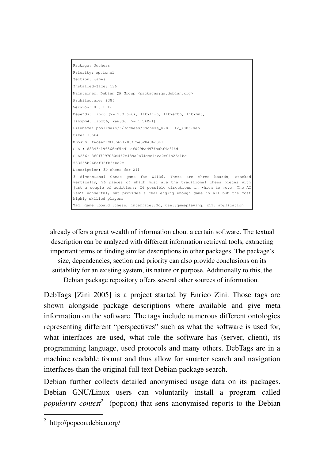```
Package: 3dchess
Priority: optional
Section: games
Installed-Size: 136
Maintainer: Debian QA Group <packages@ga.debian.org>
Architecture: i386
Version: 0.8.1-12Depends: libc6 (>= 2.3.6-6), libx11-6, libxext6, libxmu6,
libxpm4, libxt6, xaw3dg (>= 1.5+E1)
Filename: pool/main/3/3dchess/3dchess 0.8.1-12 i386.deb
Size: 33564
MD5sum: fecee217870b621286f75e528496d3b1
SHA1: 88343e19f566cf5cd11ef099bad97fbabf4e316d
SHA256: 3601709708044f7e489a0a74dbe4aca0e04b2fe1bc
533655b268af36fb6abd2c
Description: 3D chess for X11
3 dimensional Chess game for X11R6. There are three boards, stacked
vertically; 96 pieces of which most are the traditional chess pieces with
just a couple of additions; 26 possible directions in which to move. The AI
isn't wonderful, but provides a challenging enough game to all but the most
highly skilled players
Tag: game::board::chess, interface::3d, use::gameplaying, x11::application
```
already offers a great wealth of information about a certain software. The textual description can be analyzed with different information retrieval tools, extracting important terms or finding similar descriptions in other packages. The package's size, dependencies, section and priority can also provide conclusions on its suitability for an existing system, its nature or purpose. Additionally to this, the Debian package repository offers several other sources of information.

<span id="page-4-0"></span>DebTags [Zini 2005] is a project started by Enrico Zini. Those tags are shown alongside package descriptions where availabl[e](#page-4-0) and give meta information on the software. The tags include numerous different ontologies representing different "perspectives" such as what the software is used for, what interfaces are used, what role the software has (server, client), its programming language, used protocols and many others. DebTags are in a machine readable format and thus allow for smarter search and navigation interfaces than the original full text Debian package search.

Debian further collects detailed anonymised usage data on its packages. Debian GNU/Linux users can voluntarily install a program called *popularity contest* [2](#page-4-1) (popcon) that sens anonymised reports to the Debian

<span id="page-4-1"></span><sup>&</sup>lt;sup>2</sup> http://popcon.debian.org/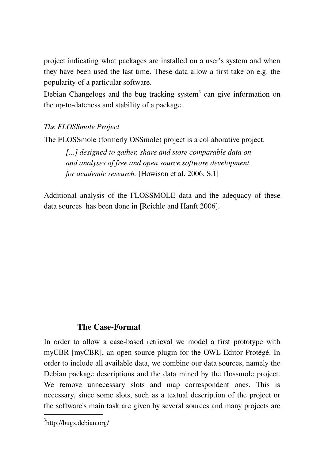project indicating what packages are installed on a user's system and when they have been used the last time. These data allow a first take on e.g. the popularity of a particular software.

Debian Changelogs and the bug tracking system<sup>[3](#page-5-0)</sup> can give information on the up-to-dateness and stability of a package.

#### *The FLOSSmole Project*

The FLOSSmole (formerly OSSmole) project is a collaborative project.

*[...] designed to gather, share and store comparable data on and analyses of free and open source software development for academic research.* [Howison et al. 2006, S.1]

Additional analysis of the FLOSSMOLE data and the adequacy of these data sources has been done in [Reichle and Hanft 2006].

#### **The Case-Format**

In order to allow a case-based retrieval we model a first prototype with myCBR [myCBR], an open source plugin for the OWL Editor Protégé. In order to include all available data, we combine our data sources, namely the Debian package descriptions and the data mined by the flossmole project. We remove unnecessary slots and map correspondent ones. This is necessary, since some slots, such as a textual description of the project or the software's main task are given by several sources and many projects are

<span id="page-5-0"></span><sup>&</sup>lt;sup>3</sup>http://bugs.debian.org/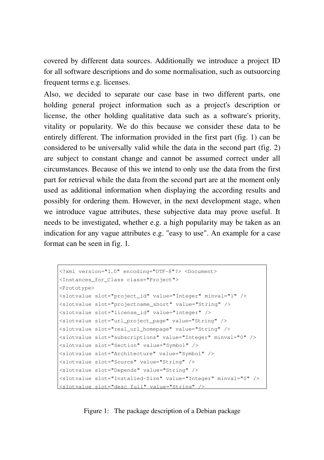covered by different data sources. Additionally we introduce a project ID for all software descriptions and do some normalisation, such as outsuorcing frequent terms e.g. licenses.

Also, we decided to separate our case base in two different parts, one holding general project information such as a project's description or license, the other holding qualitative data such as a software's priority, vitality or popularity. We do this because we consider these data to be entirely different. The information provided in the first part (fig. 1) can be considered to be universally valid while the data in the second part (fig. 2) are subject to constant change and cannot be assumed correct under all circumstances. Because of this we intend to only use the data from the first part for retrieval while the data from the second part are at the moment only used as additional information when displaying the according results and possibly for ordering them. However, in the next development stage, when we introduce vague attributes, these subjective data may prove useful. It needs to be investigated, whether e.g. a high popularity may be taken as an indication for any vague attributes e.g. "easy to use". An example for a case format can be seen in fig. 1.

```
<?xml version="1.0" encoding="UTF-8"?> <Document>
<Instances_for_Class class="Project"> 
<Prototype> 
<slotvalue slot="project_id" value="Integer" minval="1" />
<slotvalue slot="projectname_short" value="String" />
<slotvalue slot="license_id" value="integer" />
<slotvalue slot="url_project_page" value="String" />
<slotvalue slot="real_url_homepage" value="String" />
<slotvalue slot="subscriptions" value="Integer" minval="0" />
<slotvalue slot="Section" value="Symbol" />
<slotvalue slot="Architecture" value="Symbol" />
<slotvalue slot="Source" value="String" />
<slotvalue slot="Depends" value="String" />
<slotvalue slot="Installed-Size" value="Integer" minval="0" />
<slotvalue slot="desc_full" value="String" />
```
#### Figure 1: The package description of a Debian package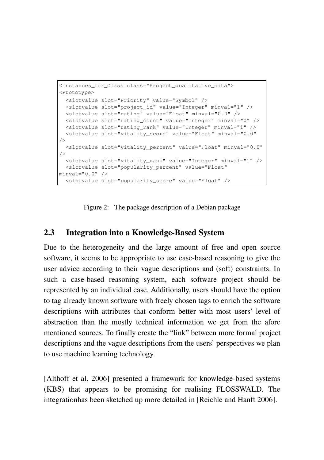```
<Instances_for_Class class="Project_qualitative_data">
<Prototype>
   <slotvalue slot="Priority" value="Symbol" />
   <slotvalue slot="project_id" value="Integer" minval="1" />
   <slotvalue slot="rating" value="Float" minval="0.0" />
   <slotvalue slot="rating_count" value="Integer" minval="0" />
   <slotvalue slot="rating_rank" value="Integer" minval="1" />
    <slotvalue slot="vitality_score" value="Float" minval="0.0"
/>
    <slotvalue slot="vitality_percent" value="Float" minval="0.0"
/>
    <slotvalue slot="vitality_rank" value="Integer" minval="1" />
    <slotvalue slot="popularity_percent" value="Float"
minval = "0.0" />
    <slotvalue slot="popularity_score" value="Float" />
```
Figure 2: The package description of a Debian package

#### 2.3 Integration into a Knowledge-Based System

Due to the heterogeneity and the large amount of free and open source software, it seems to be appropriate to use case-based reasoning to give the user advice according to their vague descriptions and (soft) constraints. In such a case-based reasoning system, each software project should be represented by an individual case. Additionally, users should have the option to tag already known software with freely chosen tags to enrich the software descriptions with attributes that conform better with most users' level of abstraction than the mostly technical information we get from the afore mentioned sources. To finally create the "link" between more formal project descriptions and the vague descriptions from the users' perspectives we plan to use machine learning technology.

[Althoff et al. 2006] presented a framework for knowledge-based systems (KBS) that appears to be promising for realising FLOSSWALD. The integrationhas been sketched up more detailed in [Reichle and Hanft 2006].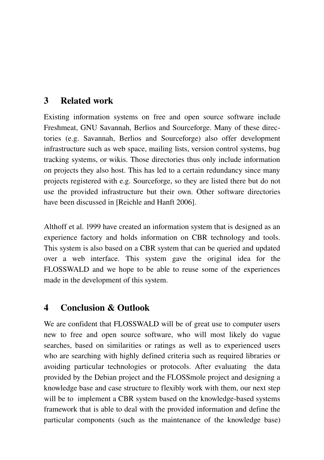## 3 Related work

Existing information systems on free and open source software include Freshmeat, GNU Savannah, Berlios and Sourceforge. Many of these directories (e.g. Savannah, Berlios and Sourceforge) also offer development infrastructure such as web space, mailing lists, version control systems, bug tracking systems, or wikis. Those directories thus only include information on projects they also host. This has led to a certain redundancy since many projects registered with e.g. Sourceforge, so they are listed there but do not use the provided infrastructure but their own. Other software directories have been discussed in [Reichle and Hanft 2006].

[Althoff et al. 1999](#page-9-0) have created an information system that is designed as an experience factory and holds information on CBR technology and tools. This system is also based on a CBR system that can be queried and updated over a web interface. This system gave the original idea for the FLOSSWALD and we hope to be able to reuse some of the experiences made in the development of this system.

### 4 Conclusion & Outlook

We are confident that FLOSSWALD will be of great use to computer users new to free and open source software, who will most likely do vague searches, based on similarities or ratings as well as to experienced users who are searching with highly defined criteria such as required libraries or avoiding particular technologies or protocols. After evaluating the data provided by the Debian project and the FLOSSmole project and designing a knowledge base and case structure to flexibly work with them, our next step will be to implement a CBR system based on the knowledge-based systems framework that is able to deal with the provided information and define the particular components (such as the maintenance of the knowledge base)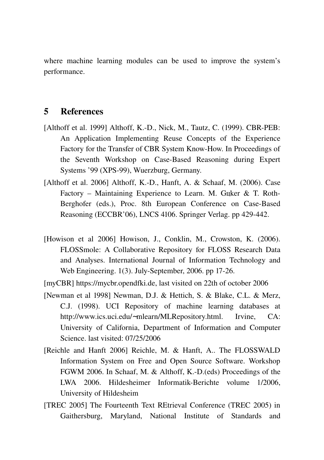where machine learning modules can be used to improve the system's performance.

#### 5 References

- <span id="page-9-0"></span>[Althoff et al. 1999] Althoff, K.-D., Nick, M., Tautz, C. (1999). CBR-PEB: An Application Implementing Reuse Concepts of the Experience Factory for the Transfer of CBR System Know-How. In Proceedings of the Seventh Workshop on Case-Based Reasoning during Expert Systems '99 (XPS-99), Wuerzburg, Germany.
- [Althoff et al. 2006] Althoff, K.-D., Hanft, A. & Schaaf, M. (2006). Case Factory – Maintaining Experience to Learn. M. Gцker & T. Roth-Berghofer (eds.), Proc. 8th European Conference on Case-Based Reasoning (ECCBR'06), LNCS 4106. Springer Verlag. pp 429-442.
- [Howison et al 2006] Howison, J., Conklin, M., Crowston, K. (2006). FLOSSmole: A Collaborative Repository for FLOSS Research Data and Analyses. International Journal of Information Technology and Web Engineering.  $1(3)$ . July-September, 2006. pp 17-26.
- [myCBR] https://mycbr.opendfki.de, last visited on 22th of october 2006
- [Newman et al 1998] Newman, D.J. & Hettich, S. & Blake, C.L. & Merz, C.J. (1998). UCI Repository of machine learning databases at http://www.ics.uci.edu/∼mlearn/MLRepository.html. Irvine, CA: University of California, Department of Information and Computer Science. last visited: 07/25/2006
- [Reichle and Hanft 2006] Reichle, M. & Hanft, A.. The FLOSSWALD Information System on Free and Open Source Software. Workshop FGWM 2006. In Schaaf, M. & Althoff, K.-D.(eds) Proceedings of the LWA 2006. Hildesheimer Informatik-Berichte volume 1/2006, University of Hildesheim
- [TREC 2005] The Fourteenth Text REtrieval Conference (TREC 2005) in Gaithersburg, Maryland, National Institute of Standards and